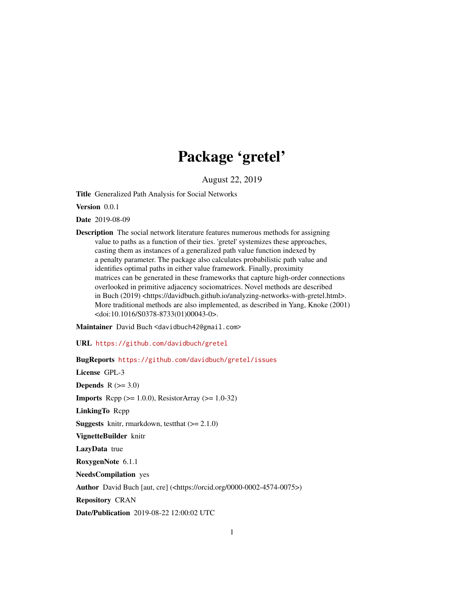# Package 'gretel'

August 22, 2019

Title Generalized Path Analysis for Social Networks

Version 0.0.1

Date 2019-08-09

Description The social network literature features numerous methods for assigning value to paths as a function of their ties. 'gretel' systemizes these approaches, casting them as instances of a generalized path value function indexed by a penalty parameter. The package also calculates probabilistic path value and identifies optimal paths in either value framework. Finally, proximity matrices can be generated in these frameworks that capture high-order connections overlooked in primitive adjacency sociomatrices. Novel methods are described in Buch (2019) <https://davidbuch.github.io/analyzing-networks-with-gretel.html>. More traditional methods are also implemented, as described in Yang, Knoke (2001) <doi:10.1016/S0378-8733(01)00043-0>.

Maintainer David Buch <davidbuch42@gmail.com>

URL <https://github.com/davidbuch/gretel>

BugReports <https://github.com/davidbuch/gretel/issues>

License GPL-3 Depends  $R$  ( $>= 3.0$ ) **Imports** Rcpp  $(>= 1.0.0)$ , ResistorArray  $(>= 1.0-32)$ LinkingTo Rcpp **Suggests** knitr, rmarkdown, test that  $(>= 2.1.0)$ VignetteBuilder knitr LazyData true RoxygenNote 6.1.1 NeedsCompilation yes Author David Buch [aut, cre] (<https://orcid.org/0000-0002-4574-0075>) Repository CRAN Date/Publication 2019-08-22 12:00:02 UTC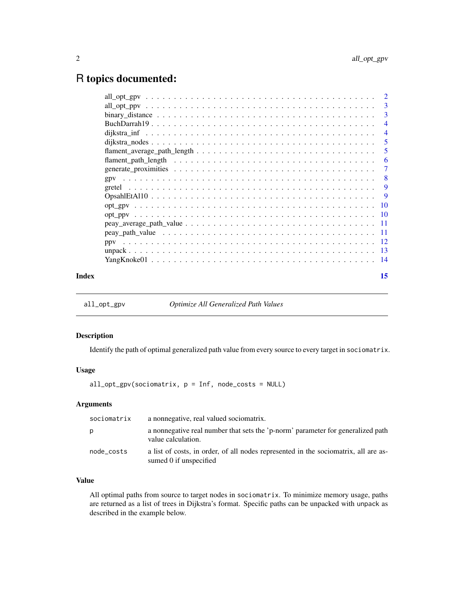# <span id="page-1-0"></span>R topics documented:

|       |                                                                                                                     | $\overline{4}$ |
|-------|---------------------------------------------------------------------------------------------------------------------|----------------|
|       |                                                                                                                     | $\overline{4}$ |
|       |                                                                                                                     | $\overline{5}$ |
|       |                                                                                                                     |                |
|       |                                                                                                                     |                |
|       |                                                                                                                     |                |
|       |                                                                                                                     |                |
|       |                                                                                                                     |                |
|       |                                                                                                                     |                |
|       |                                                                                                                     |                |
|       |                                                                                                                     |                |
|       | $peay_average_path_value \dots \dots \dots \dots \dots \dots \dots \dots \dots \dots \dots \dots \dots \dots \dots$ |                |
|       |                                                                                                                     |                |
|       |                                                                                                                     |                |
|       |                                                                                                                     |                |
|       |                                                                                                                     |                |
| Index |                                                                                                                     | 15             |

<span id="page-1-1"></span>all\_opt\_gpv *Optimize All Generalized Path Values*

#### Description

Identify the path of optimal generalized path value from every source to every target in sociomatrix.

# Usage

all\_opt\_gpv(sociomatrix, p = Inf, node\_costs = NULL)

# Arguments

| sociomatrix | a nonnegative, real valued sociomatrix.                                                                       |
|-------------|---------------------------------------------------------------------------------------------------------------|
| p           | a nonnegative real number that sets the 'p-norm' parameter for generalized path<br>value calculation.         |
| node_costs  | a list of costs, in order, of all nodes represented in the sociomatrix, all are as-<br>sumed 0 if unspecified |

# Value

All optimal paths from source to target nodes in sociomatrix. To minimize memory usage, paths are returned as a list of trees in Dijkstra's format. Specific paths can be unpacked with unpack as described in the example below.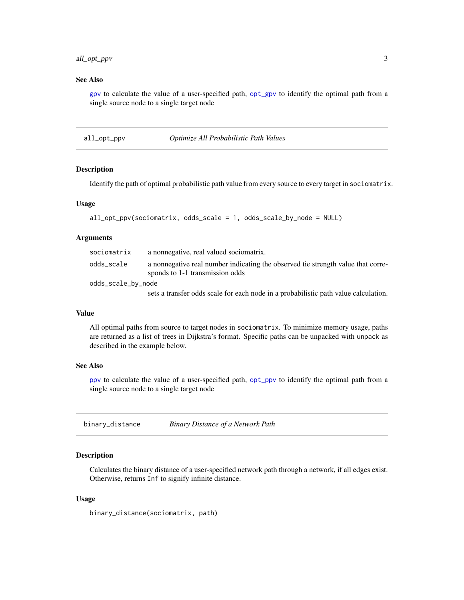# <span id="page-2-0"></span>all\_opt\_ppv 3

# See Also

[gpv](#page-7-1) to calculate the value of a user-specified path, [opt\\_gpv](#page-9-1) to identify the optimal path from a single source node to a single target node

<span id="page-2-1"></span>all\_opt\_ppv *Optimize All Probabilistic Path Values*

#### Description

Identify the path of optimal probabilistic path value from every source to every target in sociomatrix.

### Usage

```
all_opt_ppv(sociomatrix, odds_scale = 1, odds_scale_by_node = NULL)
```
#### Arguments

| sociomatrix        | a nonnegative, real valued sociomatrix.                                                                             |
|--------------------|---------------------------------------------------------------------------------------------------------------------|
| odds_scale         | a nonnegative real number indicating the observed tie strength value that corre-<br>sponds to 1-1 transmission odds |
| odds_scale_by_node |                                                                                                                     |
|                    |                                                                                                                     |

sets a transfer odds scale for each node in a probabilistic path value calculation.

#### Value

All optimal paths from source to target nodes in sociomatrix. To minimize memory usage, paths are returned as a list of trees in Dijkstra's format. Specific paths can be unpacked with unpack as described in the example below.

#### See Also

[ppv](#page-11-1) to calculate the value of a user-specified path, [opt\\_ppv](#page-9-2) to identify the optimal path from a single source node to a single target node

binary\_distance *Binary Distance of a Network Path*

#### **Description**

Calculates the binary distance of a user-specified network path through a network, if all edges exist. Otherwise, returns Inf to signify infinite distance.

#### Usage

binary\_distance(sociomatrix, path)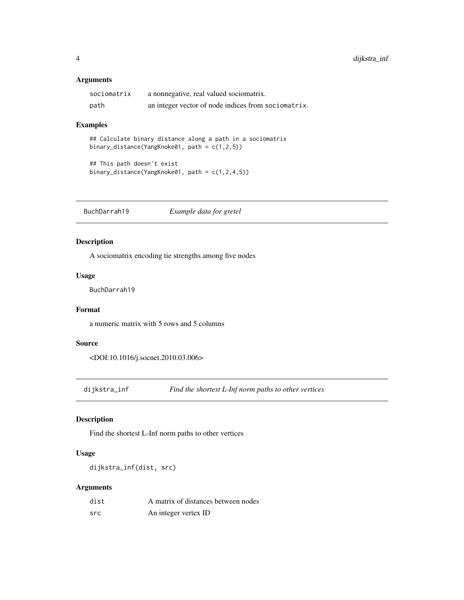# <span id="page-3-0"></span>Arguments

| sociomatrix | a nonnegative, real valued sociomatrix.             |
|-------------|-----------------------------------------------------|
| path        | an integer vector of node indices from sociomatrix. |

# Examples

## Calculate binary distance along a path in a sociomatrix binary\_distance(YangKnoke01, path = c(1,2,5))

```
## This path doesn't exist
binary_distance(YangKnoke01, path = c(1,2,4,5))
```
BuchDarrah19 *Example data for gretel*

# Description

A sociomatrix encoding tie strengths among five nodes

# Usage

BuchDarrah19

# Format

a numeric matrix with 5 rows and 5 columns

#### Source

<DOI:10.1016/j.socnet.2010.03.006>

dijkstra\_inf *Find the shortest L-Inf norm paths to other vertices*

# Description

Find the shortest L-Inf norm paths to other vertices

# Usage

dijkstra\_inf(dist, src)

# Arguments

| dist | A matrix of distances between nodes |
|------|-------------------------------------|
| src  | An integer vertex ID                |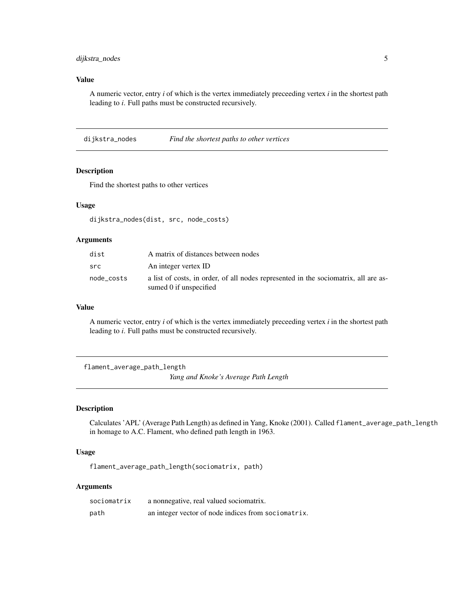# <span id="page-4-0"></span>dijkstra\_nodes 5

# Value

A numeric vector, entry *i* of which is the vertex immediately preceeding vertex *i* in the shortest path leading to *i*. Full paths must be constructed recursively.

dijkstra\_nodes *Find the shortest paths to other vertices*

# Description

Find the shortest paths to other vertices

#### Usage

dijkstra\_nodes(dist, src, node\_costs)

#### Arguments

| dist       | A matrix of distances between nodes                                                                           |
|------------|---------------------------------------------------------------------------------------------------------------|
| src        | An integer vertex ID                                                                                          |
| node costs | a list of costs, in order, of all nodes represented in the sociomatrix, all are as-<br>sumed 0 if unspecified |

#### Value

A numeric vector, entry *i* of which is the vertex immediately preceeding vertex *i* in the shortest path leading to *i*. Full paths must be constructed recursively.

<span id="page-4-1"></span>flament\_average\_path\_length

*Yang and Knoke's Average Path Length*

# Description

Calculates 'APL' (Average Path Length) as defined in Yang, Knoke (2001). Called flament\_average\_path\_length in homage to A.C. Flament, who defined path length in 1963.

#### Usage

flament\_average\_path\_length(sociomatrix, path)

# Arguments

| sociomatrix | a nonnegative, real valued sociomatrix.             |
|-------------|-----------------------------------------------------|
| path        | an integer vector of node indices from sociomatrix. |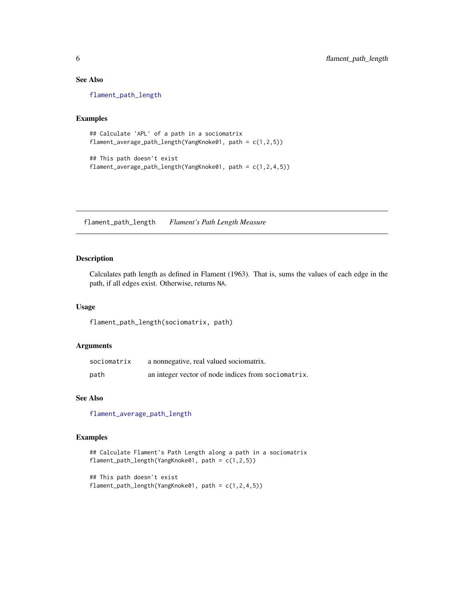# See Also

[flament\\_path\\_length](#page-5-1)

# Examples

```
## Calculate 'APL' of a path in a sociomatrix
flament_average_path_length(YangKnoke01, path = c(1,2,5))
```

```
## This path doesn't exist
flament_average_path_length(YangKnoke01, path = c(1,2,4,5))
```
<span id="page-5-1"></span>flament\_path\_length *Flament's Path Length Measure*

# Description

Calculates path length as defined in Flament (1963). That is, sums the values of each edge in the path, if all edges exist. Otherwise, returns NA.

# Usage

flament\_path\_length(sociomatrix, path)

# Arguments

| sociomatrix | a nonnegative, real valued sociomatrix.             |
|-------------|-----------------------------------------------------|
| path        | an integer vector of node indices from sociomatrix. |

#### See Also

[flament\\_average\\_path\\_length](#page-4-1)

# Examples

```
## Calculate Flament's Path Length along a path in a sociomatrix
flament_path_length(YangKnoke01, path = c(1,2,5))
```

```
## This path doesn't exist
flament_path_length(YangKnoke01, path = c(1,2,4,5))
```
<span id="page-5-0"></span>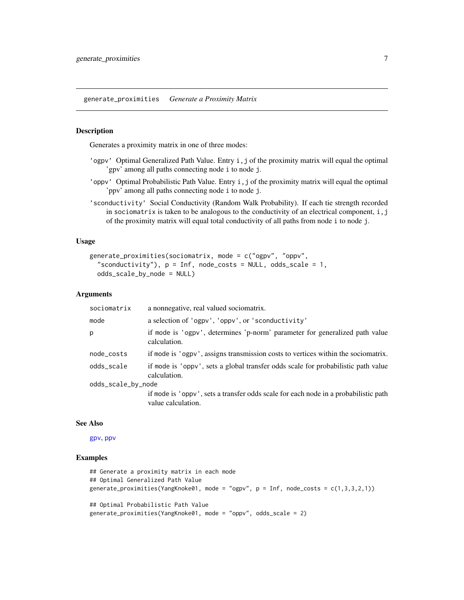<span id="page-6-1"></span><span id="page-6-0"></span>generate\_proximities *Generate a Proximity Matrix*

#### Description

Generates a proximity matrix in one of three modes:

- 'ogpv' Optimal Generalized Path Value. Entry i,j of the proximity matrix will equal the optimal 'gpv' among all paths connecting node i to node j.
- 'oppv' Optimal Probabilistic Path Value. Entry i,j of the proximity matrix will equal the optimal 'ppv' among all paths connecting node i to node j.
- 'sconductivity' Social Conductivity (Random Walk Probability). If each tie strength recorded in sociomatrix is taken to be analogous to the conductivity of an electrical component,  $i, j$ of the proximity matrix will equal total conductivity of all paths from node i to node j.

#### Usage

```
generate_proximities(sociomatrix, mode = c("ogpv", "oppv",
  "sconductivity"), p = Inf, node_costs = NULL, odds_scale = 1,
 odds_scale_by_node = NULL)
```
#### Arguments

| sociomatrix        | a nonnegative, real valued sociomatrix.                                                                   |
|--------------------|-----------------------------------------------------------------------------------------------------------|
| mode               | a selection of 'ogpv', 'oppv', or 'sconductivity'                                                         |
| p.                 | if mode is 'ogpv', determines 'p-norm' parameter for generalized path value<br>calculation.               |
| node_costs         | if mode is 'ogpv', assigns transmission costs to vertices within the sociomatrix.                         |
| odds_scale         | if mode is 'oppy', sets a global transfer odds scale for probabilistic path value<br>calculation.         |
| odds_scale_by_node |                                                                                                           |
|                    | if mode is 'oppy', sets a transfer odds scale for each node in a probabilistic path<br>value calculation. |

#### See Also

[gpv](#page-7-1), [ppv](#page-11-1)

#### Examples

```
## Generate a proximity matrix in each mode
## Optimal Generalized Path Value
generate_proximities(YangKnoke01, mode = "ogpv", p = Inf, node_costs = c(1,3,3,2,1))
## Optimal Probabilistic Path Value
generate_proximities(YangKnoke01, mode = "oppv", odds_scale = 2)
```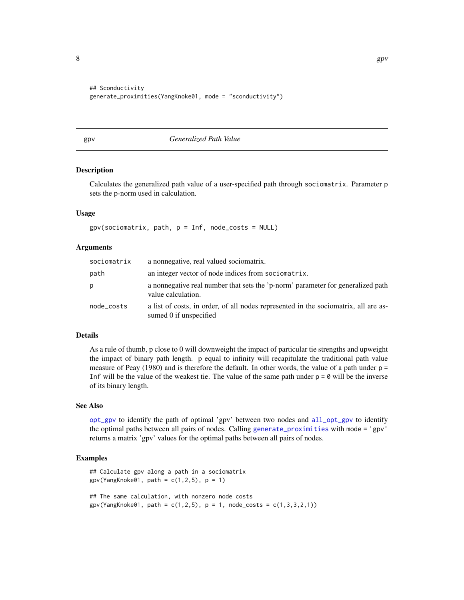```
## Sconductivity
generate_proximities(YangKnoke01, mode = "sconductivity")
```
# <span id="page-7-1"></span>gpv *Generalized Path Value*

#### Description

Calculates the generalized path value of a user-specified path through sociomatrix. Parameter p sets the p-norm used in calculation.

#### Usage

 $gpv$ (sociomatrix, path,  $p = Inf$ , node\_costs = NULL)

#### Arguments

| sociomatrix | a nonnegative, real valued sociomatrix.                                                                       |
|-------------|---------------------------------------------------------------------------------------------------------------|
| path        | an integer vector of node indices from sociomatrix.                                                           |
| p           | a nonnegative real number that sets the 'p-norm' parameter for generalized path<br>value calculation.         |
| node_costs  | a list of costs, in order, of all nodes represented in the sociomatrix, all are as-<br>sumed 0 if unspecified |

#### Details

As a rule of thumb, p close to 0 will downweight the impact of particular tie strengths and upweight the impact of binary path length. p equal to infinity will recapitulate the traditional path value measure of Peay  $(1980)$  and is therefore the default. In other words, the value of a path under  $p =$ Inf will be the value of the weakest tie. The value of the same path under  $p = 0$  will be the inverse of its binary length.

#### See Also

[opt\\_gpv](#page-9-1) to identify the path of optimal 'gpv' between two nodes and [all\\_opt\\_gpv](#page-1-1) to identify the optimal paths between all pairs of nodes. Calling [generate\\_proximities](#page-6-1) with mode = 'gpv' returns a matrix 'gpv' values for the optimal paths between all pairs of nodes.

#### Examples

```
## Calculate gpv along a path in a sociomatrix
gpv(YangKnoke01, path = c(1,2,5), p = 1)## The same calculation, with nonzero node costs
gpv(YangKnoke01, path = c(1, 2, 5), p = 1, node\_costs = c(1, 3, 3, 2, 1))
```
<span id="page-7-0"></span>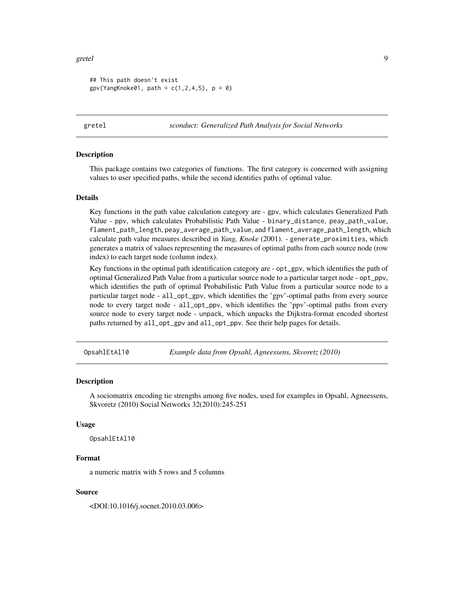#### <span id="page-8-0"></span>gretel **9**

```
## This path doesn't exist
gpv(YangKnoke01, path = c(1, 2, 4, 5), p = 0)
```
gretel *sconduct: Generalized Path Analysis for Social Networks*

# Description

This package contains two categories of functions. The first category is concerned with assigning values to user specified paths, while the second identifies paths of optimal value.

#### Details

Key functions in the path value calculation category are - gpv, which calculates Generalized Path Value - ppv, which calculates Probabilistic Path Value - binary\_distance, peay\_path\_value, flament\_path\_length, peay\_average\_path\_value, and flament\_average\_path\_length, which calculate path value measures described in *Yang, Knoke* (2001). - generate\_proximities, which generates a matrix of values representing the measures of optimal paths from each source node (row index) to each target node (column index).

Key functions in the optimal path identification category are - opt\_gpv, which identifies the path of optimal Generalized Path Value from a particular source node to a particular target node - opt\_ppv, which identifies the path of optimal Probabilistic Path Value from a particular source node to a particular target node - all\_opt\_gpv, which identifies the 'gpv'-optimal paths from every source node to every target node - all\_opt\_ppv, which identifies the 'ppv'-optimal paths from every source node to every target node - unpack, which unpacks the Dijkstra-format encoded shortest paths returned by all\_opt\_gpv and all\_opt\_ppv. See their help pages for details.

OpsahlEtAl10 *Example data from Opsahl, Agneessens, Skvoretz (2010)*

#### **Description**

A sociomatrix encoding tie strengths among five nodes, used for examples in Opsahl, Agneessens, Skvoretz (2010) Social Networks 32(2010):245-251

#### Usage

OpsahlEtAl10

#### Format

a numeric matrix with 5 rows and 5 columns

#### Source

<DOI:10.1016/j.socnet.2010.03.006>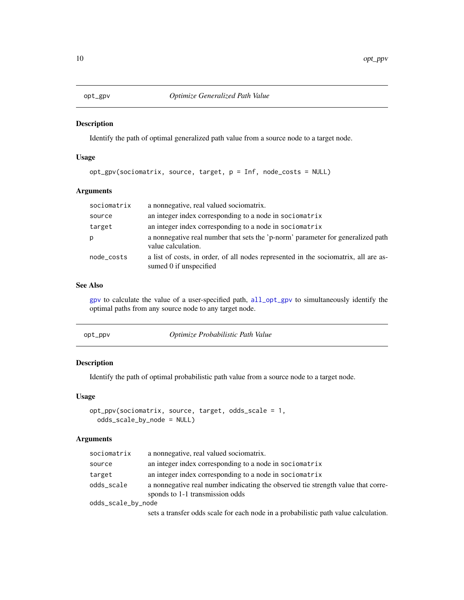<span id="page-9-1"></span><span id="page-9-0"></span>

#### Description

Identify the path of optimal generalized path value from a source node to a target node.

# Usage

```
opt_gpv(sociomatrix, source, target, p = Inf, node_costs = NULL)
```
# Arguments

| sociomatrix | a nonnegative, real valued sociomatrix.                                                                       |
|-------------|---------------------------------------------------------------------------------------------------------------|
| source      | an integer index corresponding to a node in sociomatrix                                                       |
| target      | an integer index corresponding to a node in sociomatrix                                                       |
|             | a nonnegative real number that sets the 'p-norm' parameter for generalized path<br>value calculation.         |
| node_costs  | a list of costs, in order, of all nodes represented in the sociomatrix, all are as-<br>sumed 0 if unspecified |

# See Also

[gpv](#page-7-1) to calculate the value of a user-specified path, [all\\_opt\\_gpv](#page-1-1) to simultaneously identify the optimal paths from any source node to any target node.

<span id="page-9-2"></span>

| Optimize Probabilistic Path Value |
|-----------------------------------|
|                                   |

# Description

Identify the path of optimal probabilistic path value from a source node to a target node.

### Usage

```
opt_ppv(sociomatrix, source, target, odds_scale = 1,
 odds_scale_by_node = NULL)
```
#### Arguments

| sociomatrix        | a nonnegative, real valued sociomatrix.                                                                                                             |
|--------------------|-----------------------------------------------------------------------------------------------------------------------------------------------------|
| source             | an integer index corresponding to a node in sociomatrix                                                                                             |
| target             | an integer index corresponding to a node in sociomatrix                                                                                             |
| odds_scale         | a nonnegative real number indicating the observed tie strength value that corre-<br>sponds to 1-1 transmission odds                                 |
| odds_scale_by_node |                                                                                                                                                     |
|                    | $\mathbf{1}$ , $\mathbf{1}$ , $\mathbf{1}$ , $\mathbf{1}$ , $\mathbf{1}$ , $\mathbf{1}$ , $\mathbf{1}$ , $\mathbf{1}$ , $\mathbf{1}$ , $\mathbf{1}$ |

sets a transfer odds scale for each node in a probabilistic path value calculation.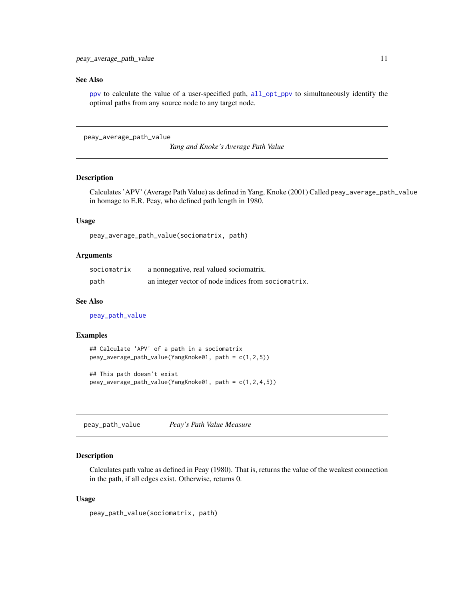### <span id="page-10-0"></span>See Also

[ppv](#page-11-1) to calculate the value of a user-specified path, [all\\_opt\\_ppv](#page-2-1) to simultaneously identify the optimal paths from any source node to any target node.

```
peay_average_path_value
```
*Yang and Knoke's Average Path Value*

#### Description

Calculates 'APV' (Average Path Value) as defined in Yang, Knoke (2001) Called peay\_average\_path\_value in homage to E.R. Peay, who defined path length in 1980.

# Usage

```
peay_average_path_value(sociomatrix, path)
```
# Arguments

| sociomatrix | a nonnegative, real valued sociomatrix.             |
|-------------|-----------------------------------------------------|
| path        | an integer vector of node indices from sociomatrix. |

#### See Also

[peay\\_path\\_value](#page-10-1)

#### Examples

```
## Calculate 'APV' of a path in a sociomatrix
peay_average_path_value(YangKnoke01, path = c(1,2,5))
```

```
## This path doesn't exist
peay_average_path_value(YangKnoke01, path = c(1,2,4,5))
```
<span id="page-10-1"></span>peay\_path\_value *Peay's Path Value Measure*

#### Description

Calculates path value as defined in Peay (1980). That is, returns the value of the weakest connection in the path, if all edges exist. Otherwise, returns 0.

#### Usage

```
peay_path_value(sociomatrix, path)
```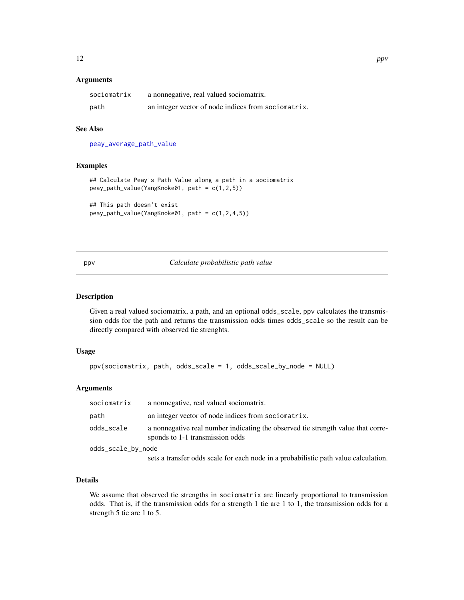#### <span id="page-11-0"></span>Arguments

| sociomatrix | a nonnegative, real valued sociomatrix.             |
|-------------|-----------------------------------------------------|
| path        | an integer vector of node indices from sociomatrix. |

# See Also

[peay\\_average\\_path\\_value](#page-10-2)

# Examples

```
## Calculate Peay's Path Value along a path in a sociomatrix
peay_path_value(YangKnoke01, path = c(1,2,5))
```

```
## This path doesn't exist
peay_path_value(YangKnoke01, path = c(1,2,4,5))
```
# <span id="page-11-1"></span>ppv *Calculate probabilistic path value*

# Description

Given a real valued sociomatrix, a path, and an optional odds\_scale, ppv calculates the transmission odds for the path and returns the transmission odds times odds\_scale so the result can be directly compared with observed tie strenghts.

#### Usage

```
ppv(sociomatrix, path, odds_scale = 1, odds_scale_by_node = NULL)
```
# Arguments

| sociomatrix        | a nonnegative, real valued sociomatrix.                                                                             |
|--------------------|---------------------------------------------------------------------------------------------------------------------|
| path               | an integer vector of node indices from sociomatrix.                                                                 |
| odds_scale         | a nonnegative real number indicating the observed tie strength value that corre-<br>sponds to 1-1 transmission odds |
| odds_scale_by_node |                                                                                                                     |
|                    | sets a transfer odds scale for each node in a probabilistic path value calculation.                                 |

# Details

We assume that observed tie strengths in sociomatrix are linearly proportional to transmission odds. That is, if the transmission odds for a strength 1 tie are 1 to 1, the transmission odds for a strength 5 tie are 1 to 5.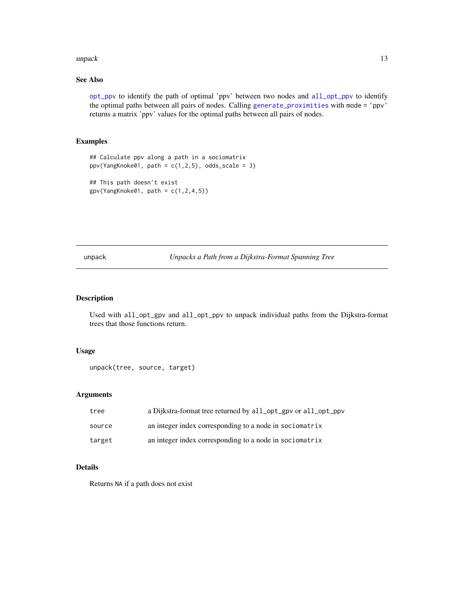#### <span id="page-12-0"></span>unpack the contract of the contract of the contract of the contract of the contract of the contract of the contract of the contract of the contract of the contract of the contract of the contract of the contract of the con

# See Also

[opt\\_ppv](#page-9-2) to identify the path of optimal 'ppv' between two nodes and [all\\_opt\\_ppv](#page-2-1) to identify the optimal paths between all pairs of nodes. Calling [generate\\_proximities](#page-6-1) with mode = 'ppv' returns a matrix 'ppv' values for the optimal paths between all pairs of nodes.

# Examples

```
## Calculate ppv along a path in a sociomatrix
ppv(YangKnoke@1, path = c(1,2,5), odds\_scale = 3)
```

```
## This path doesn't exist
gpv(YangKnoke01, path = c(1,2,4,5))
```
unpack *Unpacks a Path from a Dijkstra-Format Spanning Tree*

#### Description

Used with all\_opt\_gpv and all\_opt\_ppv to unpack individual paths from the Dijkstra-format trees that those functions return.

# Usage

```
unpack(tree, source, target)
```
### Arguments

| tree   | a Dijkstra-format tree returned by all_opt_gpv or all_opt_ppv |
|--------|---------------------------------------------------------------|
| source | an integer index corresponding to a node in sociomatrix       |
| target | an integer index corresponding to a node in sociomatrix       |

# Details

Returns NA if a path does not exist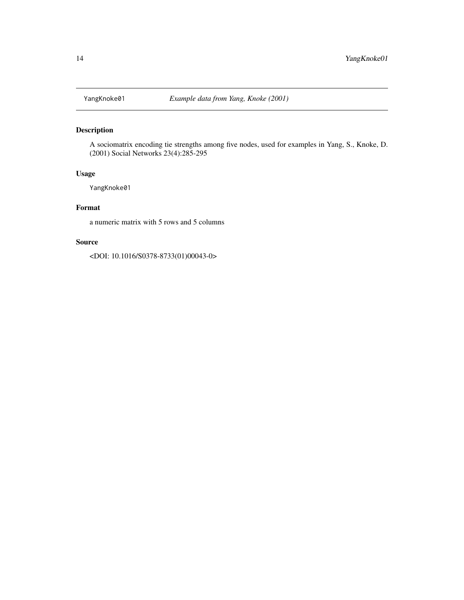<span id="page-13-0"></span>

# Description

A sociomatrix encoding tie strengths among five nodes, used for examples in Yang, S., Knoke, D. (2001) Social Networks 23(4):285-295

#### Usage

YangKnoke01

### Format

a numeric matrix with 5 rows and 5 columns

# Source

<DOI: 10.1016/S0378-8733(01)00043-0>